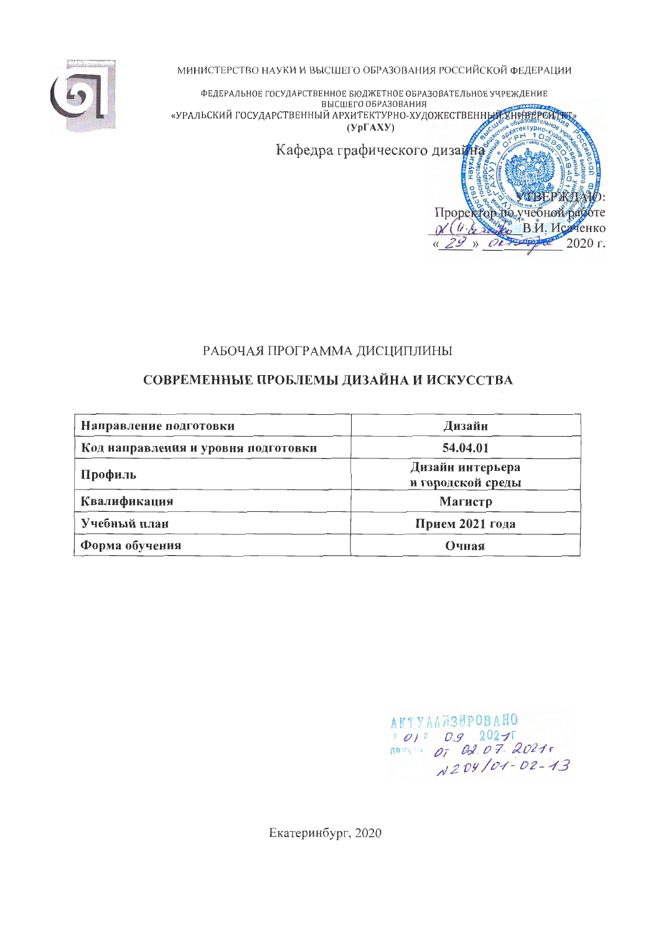

МИНИСТЕРСТВО НАУКИ И ВЫСШЕГО ОБРАЗОВАНИЯ РОССИЙСКОЙ ФЕЛЕРАЦИИ



## РАБОЧАЯ ПРОГРАММА ДИСЦИПЛИНЫ

# СОВРЕМЕННЫЕ ПРОБЛЕМЫ ДИЗАЙНА И ИСКУССТВА

| Направление подготовки              | Дизайн                                |
|-------------------------------------|---------------------------------------|
| Код направления и уровня подготовки | 54.04.01                              |
| Профиль                             | Дизайн интерьера<br>и городской среды |
| Квалификация                        | Магистр                               |
| Учебный план                        | Прием 2021 года                       |
| Форма обучения                      | Очная                                 |

**АКТУАЛИЗИРОВАНО**  $(0)$  0.9 2027<br>
novem 07 02.07.2021 N204/01-02-13

Екатеринбург, 2020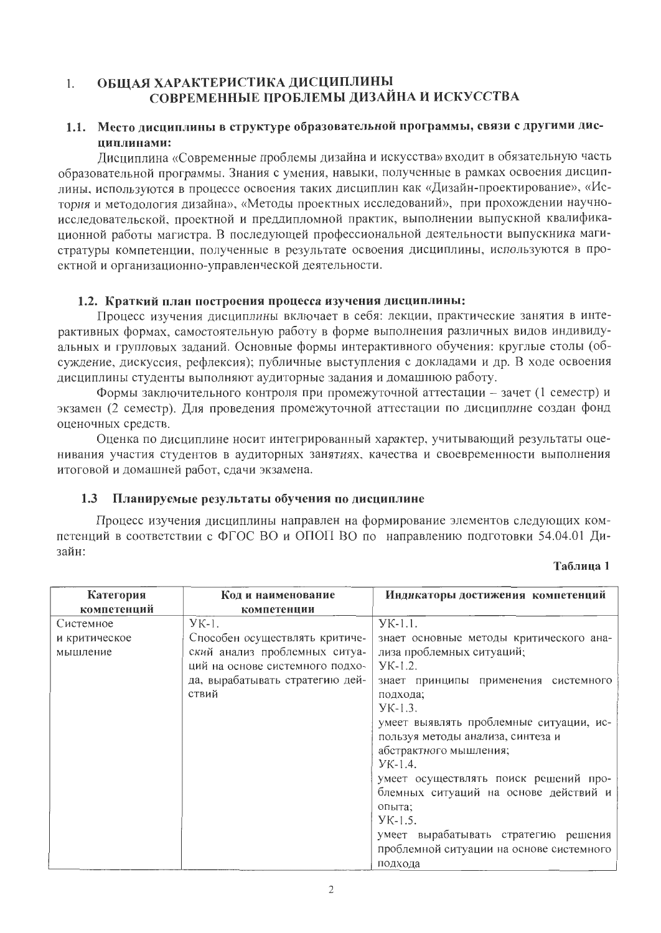#### ОБЩАЯ ХАРАКТЕРИСТИКА ДИСЦИПЛИНЫ  $1.$ СОВРЕМЕННЫЕ ПРОБЛЕМЫ ДИЗАЙНА И ИСКУССТВА

# 1.1. Место дисциплины в структуре образовательной программы, связи с другими дисциплинами:

Лисциплина «Современные проблемы дизайна и искусства» входит в обязательную часть образовательной программы. Знания с умения, навыки, полученные в рамках освоения дисциплины, используются в процессе освоения таких дисциплин как «Дизайн-проектирование», «История и методология дизайна», «Методы проектных исследований», при прохождении научноисследовательской, проектной и преддипломной практик, выполнении выпускной квалификационной работы магистра. В последующей профессиональной деятельности выпускника магистратуры компетенции, полученные в результате освоения дисциплины, используются в проектной и организационно-управленческой деятельности.

# 1.2. Краткий план построения процесса изучения дисциплины:

Процесс изучения дисциплины включает в себя: лекции, практические занятия в интерактивных формах, самостоятельную работу в форме выполнения различных видов индивидуальных и групповых заданий. Основные формы интерактивного обучения: круглые столы (обсуждение, дискуссия, рефлексия); публичные выступления с докладами и др. В ходе освоения дисциплины студенты выполняют аудиторные задания и домашнюю работу.

Формы заключительного контроля при промежуточной аттестации - зачет (1 семестр) и экзамен (2 семестр). Для проведения промежуточной аттестации по дисциплине создан фонд оценочных средств.

Оценка по дисциплине носит интегрированный характер, учитывающий результаты оценивания участия студентов в аудиторных занятиях, качества и своевременности выполнения итоговой и домашней работ, сдачи экзамена.

#### $1.3$ Планируемые результаты обучения по дисциплине

Процесс изучения дисциплины направлен на формирование элементов следующих компетенций в соответствии с ФГОС ВО и ОПОП ВО по направлению подготовки 54.04.01 Дизайн:

### Таблица 1

| Категория     | Код и наименование              | Индикаторы достижения компетенций        |
|---------------|---------------------------------|------------------------------------------|
| компетенций   | компетенции                     |                                          |
| Системное     | $YK-1$ .                        | $YK-1.1$ .                               |
| и критическое | Способен осуществлять критиче-  | знает основные методы критического ана-  |
| мышление      | ский анализ проблемных ситуа-   | лиза проблемных ситуаций;                |
|               | ций на основе системного подхо- | $YK-1.2$ .                               |
|               | да, вырабатывать стратегию дей- | знает принципы применения системного     |
|               | ствий                           | подхода;                                 |
|               |                                 | $YK-1.3$ .                               |
|               |                                 | умеет выявлять проблемные ситуации, ис-  |
|               |                                 | пользуя методы анализа, синтеза и        |
|               |                                 | абстрактного мышления;                   |
|               |                                 | $YK-1.4$ .                               |
|               |                                 | умеет осуществлять поиск решений про-    |
|               |                                 | блемных ситуаций на основе действий и    |
|               |                                 | опыта;                                   |
|               |                                 | $YK-1.5$ .                               |
|               |                                 | умеет вырабатывать стратегию решения     |
|               |                                 | проблемной ситуации на основе системного |
|               |                                 | полхола                                  |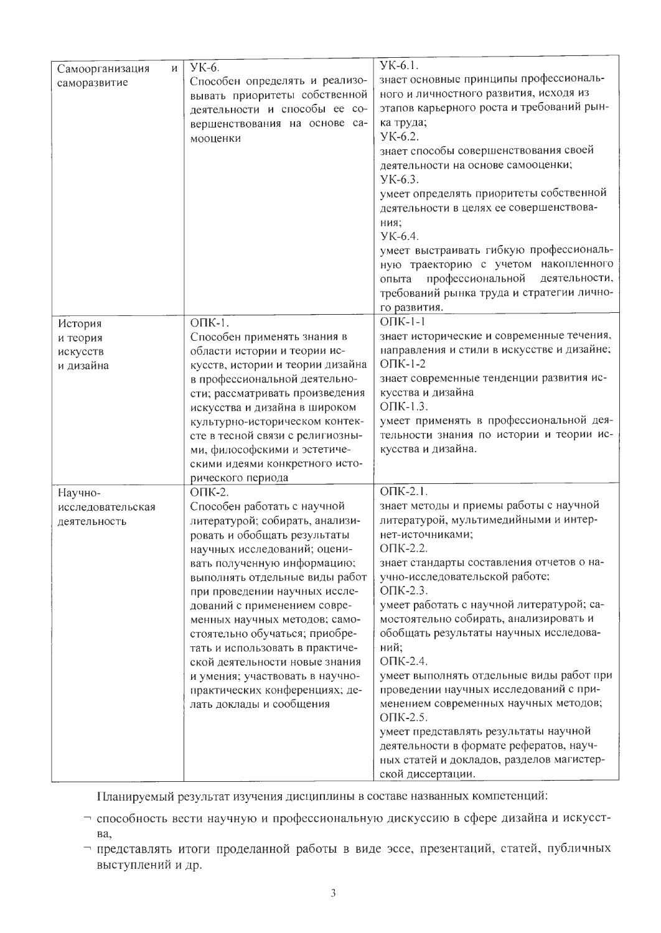|                      |                                  | YK-6.1.                                    |
|----------------------|----------------------------------|--------------------------------------------|
| Самоорганизация<br>И | УК-6.                            | знает основные принципы профессиональ-     |
| саморазвитие         | Способен определять и реализо-   | ного и личностного развития, исходя из     |
|                      | вывать приоритеты собственной    |                                            |
|                      | деятельности и способы ее со-    | этапов карьерного роста и требований рын-  |
|                      | вершенствования на основе са-    | ка труда;<br>YK-6.2.                       |
|                      | мооценки                         |                                            |
|                      |                                  | знает способы совершенствования своей      |
|                      |                                  | деятельности на основе самооценки;         |
|                      |                                  | YK-6.3.                                    |
|                      |                                  | умеет определять приоритеты собственной    |
|                      |                                  | деятельности в целях ее совершенствова-    |
|                      |                                  | ния;                                       |
|                      |                                  | YK-6.4.                                    |
|                      |                                  | умеет выстраивать гибкую профессиональ-    |
|                      |                                  | ную траекторию с учетом накопленного       |
|                      |                                  | профессиональной<br>деятельности,<br>опыта |
|                      |                                  | требований рынка труда и стратегии лично-  |
|                      |                                  | го развития.                               |
| История              | ОПК-1.                           | $O\Pi K-1-1$                               |
| и теория             | Способен применять знания в      | знает исторические и современные течения,  |
| искусств             | области истории и теории ис-     | направления и стили в искусстве и дизайне; |
| и дизайна            | кусств, истории и теории дизайна | $O$ $I$ IK-1-2                             |
|                      | в профессиональной деятельно-    | знает современные тенденции развития ис-   |
|                      | сти; рассматривать произведения  | кусства и дизайна                          |
|                      | искусства и дизайна в широком    | ОПК-1.3.                                   |
|                      | культурно-историческом контек-   | умеет применять в профессиональной дея-    |
|                      | сте в тесной связи с религиозны- | тельности знания по истории и теории ис-   |
|                      | ми, философскими и эстетиче-     | кусства и дизайна.                         |
|                      | скими идеями конкретного исто-   |                                            |
|                      | рического периода                |                                            |
| Научно-              | ОПК-2.                           | $\overline{\text{OIIK-2.1}}$ .             |
| исследовательская    | Способен работать с научной      | знает методы и приемы работы с научной     |
| деятельность         | литературой; собирать, анализи-  | литературой, мультимедийными и интер-      |
|                      | ровать и обобщать результаты     | нет-источниками;                           |
|                      | научных исследований; оцени-     | ОПК-2.2.                                   |
|                      | вать полученную информацию;      | знает стандарты составления отчетов о на-  |
|                      | выполнять отдельные виды работ   | учно-исследовательской работе;             |
|                      | при проведении научных иссле-    | ОПК-2.3.                                   |
|                      | дований с применением совре-     | умеет работать с научной литературой; са-  |
|                      | менных научных методов; само-    | мостоятельно собирать, анализировать и     |
|                      | стоятельно обучаться; приобре-   | обобщать результаты научных исследова-     |
|                      | тать и использовать в практиче-  | ний;                                       |
|                      | ской деятельности новые знания   | ОПК-2.4.                                   |
|                      | и умения; участвовать в научно-  | умеет выполнять отдельные виды работ при   |
|                      | практических конференциях; де-   | проведении научных исследований с при-     |
|                      | лать доклады и сообщения         | менением современных научных методов;      |
|                      |                                  | ОПК-2.5.                                   |
|                      |                                  | умеет представлять результаты научной      |
|                      |                                  | деятельности в формате рефератов, науч-    |
|                      |                                  | ных статей и докладов, разделов магистер-  |
|                      |                                  | ской диссертации.                          |

Планируемый результат изучения дисциплины в составе названных компетенций:

- способность вести научную и профессиональную дискуссию в сфере дизайна и искусствa,
- представлять итоги проделанной работы в виде эссе, презентаций, статей, публичных выступлений и др.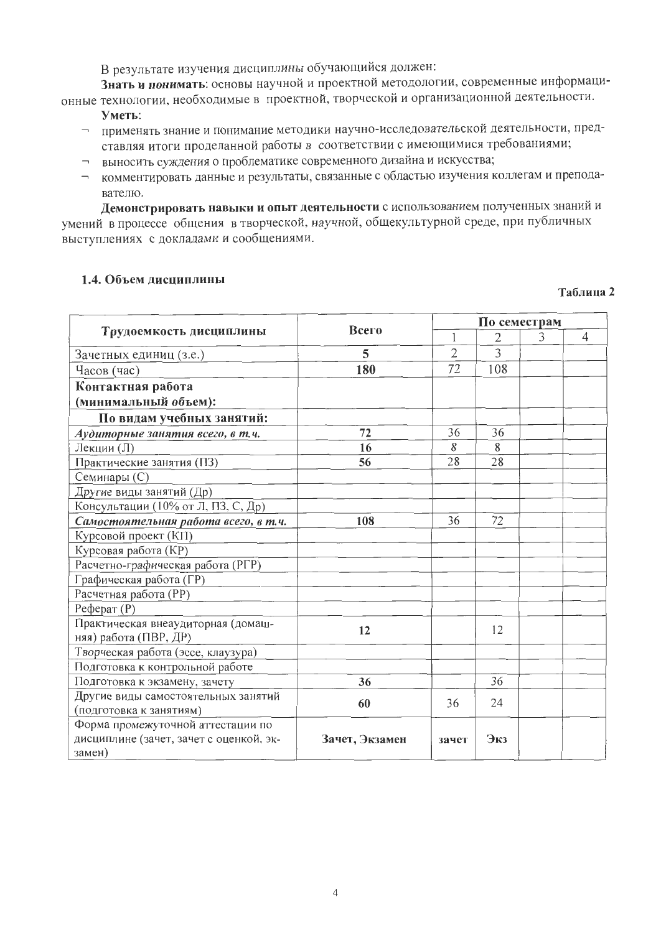В результате изучения дисциплины обучающийся должен:

Знать и понимать: основы научной и проектной методологии, современные информационные технологии, необходимые в проектной, творческой и организационной деятельности.

- Уметь:
- применять знание и понимание методики научно-исследовательской деятельности, представляя итоги проделанной работы в соответствии с имеющимися требованиями;
- выносить суждения о проблематике современного дизайна и искусства;
- комментировать данные и результаты, связанные с областью изучения коллегам и преподавателю.

Демонстрировать навыки и опыт деятельности с использованием полученных знаний и умений в процессе общения в творческой, научной, общекультурной среде, при публичных выступлениях с докладами и сообщениями.

### 1.4. Объем дисциплины

#### Таблица 2

|                                         |                |                | По семестрам |   |                |  |  |
|-----------------------------------------|----------------|----------------|--------------|---|----------------|--|--|
| Трудоемкость дисциплины                 | Всего          |                | $\mathbf{2}$ | 3 | $\overline{4}$ |  |  |
| Зачетных единиц (з.е.)                  | 5              | $\overline{2}$ | 3            |   |                |  |  |
| Часов (час)                             | 180            | 72             | 108          |   |                |  |  |
| Контактная работа                       |                |                |              |   |                |  |  |
| (минимальный объем):                    |                |                |              |   |                |  |  |
| По видам учебных занятий:               |                |                |              |   |                |  |  |
| Аудиторные занятия всего, в т.ч.        | 72             | 36             | 36           |   |                |  |  |
| Лекции (Л)                              | 16             | 8              | 8            |   |                |  |  |
| Практические занятия (ПЗ)               | 56             | 28             | 28           |   |                |  |  |
| Семинары (С)                            |                |                |              |   |                |  |  |
| Другие виды занятий (Др)                |                |                |              |   |                |  |  |
| Консультации (10% от Л, ПЗ, С, Др)      |                |                |              |   |                |  |  |
| Самостоятельная работа всего, в т.ч.    | 108            | 36             | 72           |   |                |  |  |
| Курсовой проект (КП)                    |                |                |              |   |                |  |  |
| Курсовая работа (КР)                    |                |                |              |   |                |  |  |
| Расчетно-графическая работа (РГР)       |                |                |              |   |                |  |  |
| Графическая работа (ГР)                 |                |                |              |   |                |  |  |
| Расчетная работа (РР)                   |                |                |              |   |                |  |  |
| $Pe$ ферат $(P)$                        |                |                |              |   |                |  |  |
| Практическая внеаудиторная (домаш-      | 12             |                | 12           |   |                |  |  |
| няя) работа (ПВР, ДР)                   |                |                |              |   |                |  |  |
| Творческая работа (эссе, клаузура)      |                |                |              |   |                |  |  |
| Подготовка к контрольной работе         |                |                |              |   |                |  |  |
| Подготовка к экзамену, зачету           | 36             |                | 36           |   |                |  |  |
| Другие виды самостоятельных занятий     | 60             | 36             | 24           |   |                |  |  |
| (подготовка к занятиям)                 |                |                |              |   |                |  |  |
| Форма промежуточной аттестации по       |                |                |              |   |                |  |  |
| дисциплине (зачет, зачет с оценкой, эк- | Зачет, Экзамен | зачет          | Экз          |   |                |  |  |
| замен)                                  |                |                |              |   |                |  |  |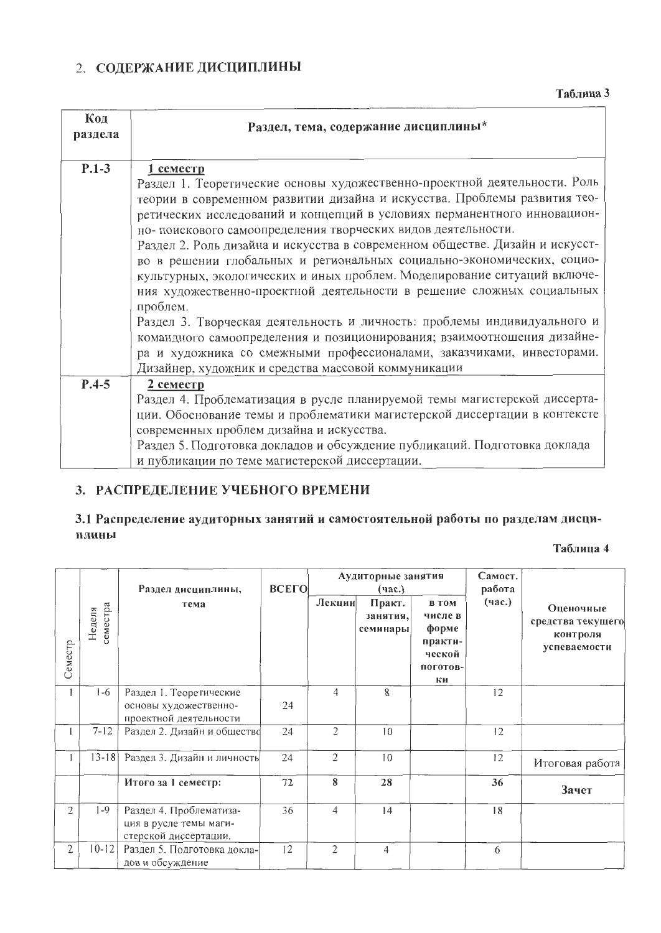# 2. СОДЕРЖАНИЕ ДИСЦИПЛИНЫ

Таблица 3

| Код<br>раздела | Раздел, тема, содержание дисциплины*                                                                                                                   |
|----------------|--------------------------------------------------------------------------------------------------------------------------------------------------------|
| $P.1-3$        | $1$ cemecrp                                                                                                                                            |
|                | Раздел 1. Теоретические основы художественно-проектной деятельности. Роль<br>теории в современном развитии дизайна и искусства. Проблемы развития тео- |
|                | ретических исследований и концепций в условиях перманентного инновацион-                                                                               |
|                | но- поискового самоопределения творческих видов деятельности.                                                                                          |
|                | Раздел 2. Роль дизайна и искусства в современном обществе. Дизайн и искусст-                                                                           |
|                | во в решении глобальных и региональных социально-экономических, социо-                                                                                 |
|                | культурных, экологических и иных проблем. Моделирование ситуаций включе-                                                                               |
|                | ния художественно-проектной деятельности в решение сложных социальных                                                                                  |
|                | проблем.<br>Раздел 3. Творческая деятельность и личность: проблемы индивидуального и                                                                   |
|                | командного самоопределения и позиционирования; взаимоотношения дизайне-                                                                                |
|                | ра и художника со смежными профессионалами, заказчиками, инвесторами.                                                                                  |
|                | Дизайнер, художник и средства массовой коммуникации                                                                                                    |
| $P.4-5$        | 2 семестр                                                                                                                                              |
|                | Раздел 4. Проблематизация в русле планируемой темы магистерской диссерта-                                                                              |
|                | ции. Обоснование темы и проблематики магистерской диссертации в контексте                                                                              |
|                | современных проблем дизайна и искусства.                                                                                                               |
|                | Раздел 5. Подготовка докладов и обсуждение публикаций. Подготовка доклада                                                                              |
|                | и публикации по теме магистерской диссертации.                                                                                                         |

# 3. РАСПРЕДЕЛЕНИЕ УЧЕБНОГО ВРЕМЕНИ

# 3.1 Распределение аудиторных занятий и самостоятельной работы по разделам дисциплины

Таблица 4

|         |                    | Раздел дисциплины,                                                         | <b>ВСЕГО</b> | Аудиторные занятия<br>(час.) |                                 |                                                                         | Самост.<br>работа |                                                            |
|---------|--------------------|----------------------------------------------------------------------------|--------------|------------------------------|---------------------------------|-------------------------------------------------------------------------|-------------------|------------------------------------------------------------|
| Семестр | семестра<br>Неделя | тема                                                                       |              | Лекции                       | Практ.<br>занятия,<br>семинары] | <b>В ТОМ</b><br>числе в<br>форме<br>практи-<br>ческой<br>поготов-<br>ки | (час.)            | Оценочные<br>средства текущего<br>контроля<br>успеваемости |
|         | $1-6$              | Раздел 1. Теоретические<br>основы художественно-<br>проектной деятельности | 24           | 4                            | 8                               |                                                                         | 12                |                                                            |
|         | $7 - 12$           | Раздел 2. Дизайн и общество                                                | 24           | $\overline{2}$               | 10                              |                                                                         | 12                |                                                            |
|         | $13 - 18$          | Раздел 3. Дизайн и личность                                                | 24           | $\overline{2}$               | 10                              |                                                                         | 12                | Итоговая работа                                            |
|         |                    | Итого за 1 семестр:                                                        | 72           | 8                            | 28                              |                                                                         | 36                | Зачет                                                      |
| 2       | $1-9$              | Раздел 4. Проблематиза-<br>ция в русле темы маги-<br>стерской диссертации. | 36           | 4                            | 14                              |                                                                         | 18                |                                                            |
| 2       | $10 - 12$          | Раздел 5. Подготовка докла-<br>дов и обсуждение                            | 12           | $\overline{2}$               | 4                               |                                                                         | 6                 |                                                            |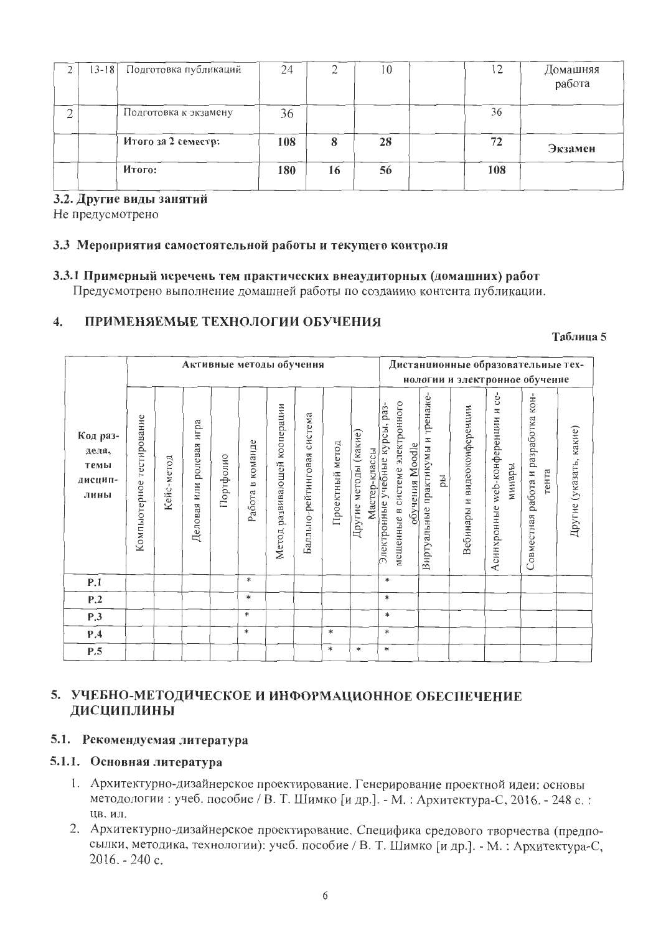| $13 - 18$ | Подготовка публикаций | 24  |    | 10 |     | Домашняя |
|-----------|-----------------------|-----|----|----|-----|----------|
|           |                       |     |    |    |     | работа   |
|           |                       |     |    |    |     |          |
|           | Подготовка к экзамену | 36  |    |    | 36  |          |
|           |                       |     |    |    |     |          |
|           | Итого за 2 семестр:   | 108 | 8  | 28 | 72  | Экзамен  |
|           |                       |     |    |    |     |          |
|           | Итого:                | 180 | 16 | 56 | 108 |          |
|           |                       |     |    |    |     |          |

## 3.2. Другие виды занятий

Не предусмотрено

#### 3.3 Мероприятия самостоятельной работы и текущего контроля

#### 3.3.1 Примерный перечень тем практических внеаудиторных (домашних) работ

Предусмотрено выполнение домашней работы по созданию контента публикации.

#### ПРИМЕНЯЕМЫЕ ТЕХНОЛОГИИ ОБУЧЕНИЯ  $\overline{4}$ .

#### Таблица 5

|                                              |                              |            |                                   |           |                                   | Активные методы обучения           |                                |                 |                                        |                                 |                                                    |                                         |                             | Дистанционные образовательиые тех-                       |                                              |                         |
|----------------------------------------------|------------------------------|------------|-----------------------------------|-----------|-----------------------------------|------------------------------------|--------------------------------|-----------------|----------------------------------------|---------------------------------|----------------------------------------------------|-----------------------------------------|-----------------------------|----------------------------------------------------------|----------------------------------------------|-------------------------|
|                                              |                              |            |                                   |           |                                   |                                    |                                |                 |                                        |                                 |                                                    |                                         |                             | нологии и электронное обучение                           |                                              |                         |
| Код раз-<br>дела,<br>темы<br>дисцип-<br>лины | тестирование<br>Компьютерное | Кейс-метод | игра<br>ролевая<br>ИЛИ<br>Деловая | Портфолио | команде<br>$\mathbf{m}$<br>Работа | кооперации<br>развивающей<br>Метод | система<br>Балльно-рейтинговая | Проектный метод | Другие методы (какие)<br>Мастер-классы | Электронные учебные курсы, раз- | мещенные в системе электронного<br>обучения Moodle | Виртуальные практикумы и тренаже-<br>ры | Зебинары и видеоконференции | ce-<br>web-конференции и<br>минары<br><b>Асинхронные</b> | Совместная работа и разработка кон-<br>тента | Другие (указать, какие) |
| P.1                                          |                              |            |                                   |           | *                                 |                                    |                                |                 |                                        |                                 | *                                                  |                                         |                             |                                                          |                                              |                         |
| P.2                                          |                              |            |                                   |           | $\ast$                            |                                    |                                |                 |                                        |                                 | $\ast$                                             |                                         |                             |                                                          |                                              |                         |
| P.3                                          |                              |            |                                   |           | $\ast$                            |                                    |                                |                 |                                        |                                 | $\ast$                                             |                                         |                             |                                                          |                                              |                         |
| P.4                                          |                              |            |                                   |           | $\ast$                            |                                    |                                | $\ast$          |                                        |                                 | $\ast$                                             |                                         |                             |                                                          |                                              |                         |
| P.5                                          |                              |            |                                   |           |                                   |                                    |                                | $\ast$          | $\ast$                                 |                                 | $\ast$                                             |                                         |                             |                                                          |                                              |                         |

# 5. УЧЕБНО-МЕТОДИЧЕСКОЕ И ИНФОРМАЦИОННОЕ ОБЕСПЕЧЕНИЕ ДИСЦИПЛИНЫ

## 5.1. Рекомендуемая литература

### 5.1.1. Основная литература

- 1. Архитектурно-дизайнерское проектирование. Генерирование проектной идеи: основы методологии: учеб. пособие / В. Т. Шимко [и др.]. - М.: Архитектура-С, 2016. - 248 с.: ЦВ. ИЛ.
- 2. Архитектурно-дизайнерское проектирование. Специфика средового творчества (предпосылки, методика, технологии): учеб. пособие / В. Т. Шимко [и др.]. - М. : Архитектура-С,  $2016. - 240$  c.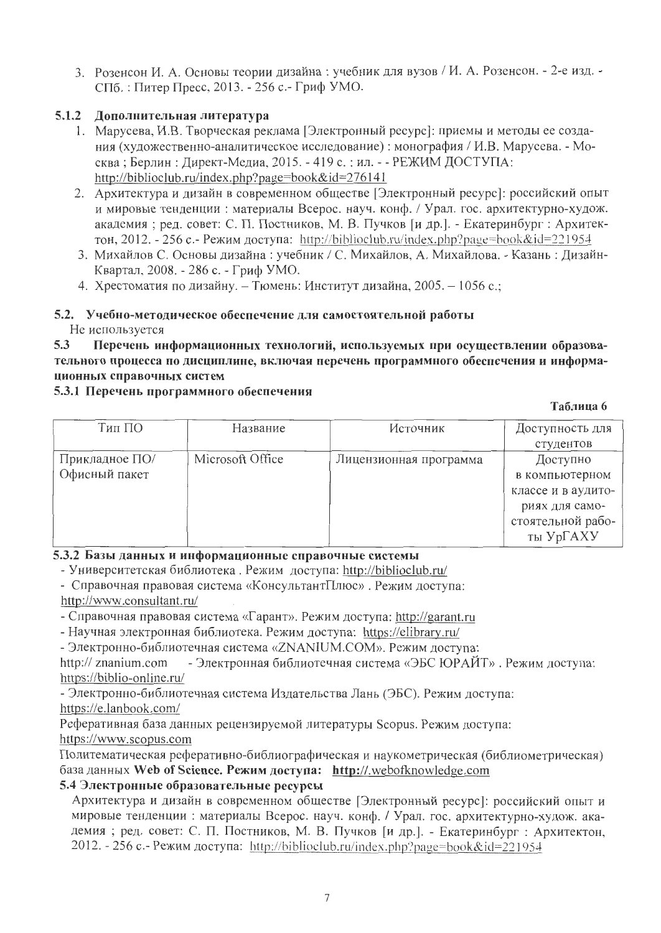3. Розенсон И. А. Основы теории дизайна: учебник для вузов / И. А. Розенсон. - 2-е изд. -СПб.: Питер Пресс, 2013. - 256 с.- Гриф УМО.

# 5.1.2 Дополнительная литература

- 1. Марусева, И.В. Творческая реклама [Электронный ресурс]: приемы и методы ее создания (художественно-аналитическое исследование): монография / И.В. Марусева. - Москва; Берлин: Директ-Медиа, 2015. - 419 с.: ил. - - РЕЖИМ ДОСТУПА: http://biblioclub.ru/index.php?page=book&id=276141
- 2. Архитектура и дизайн в современном обществе [Электронный ресурс]: российский опыт и мировые тенденции: материалы Всерос. науч. конф. / Урал. гос. архитектурно-худож. академия; ред. совет: С. П. Постников, М. В. Пучков [и др.]. - Екатеринбург: Архитектон, 2012. - 256 с.- Режим доступа: http://biblioclub.ru/index.php?page=book&id=221954
- 3. Михайлов С. Основы дизайна: учебник / С. Михайлов, А. Михайлова. Казань: Дизайн-Квартал, 2008. - 286 с. - Гриф УМО.
- 4. Хрестоматия по дизайну. Тюмень: Институт дизайна, 2005. 1056 с.;

#### 5.2. Учебно-методическое обеспечение для самостоятельной работы Не используется

 $5.3$ Перечень информационных технологий, используемых при осуществлении образовательного процесса по дисциплине, включая перечень программного обеспечения и информационных справочных систем

## 5.3.1 Перечень программного обеспечения

### Таблина 6

| Тип ПО         | Название         | Источник               | Доступность для    |
|----------------|------------------|------------------------|--------------------|
|                |                  |                        | студентов          |
| Прикладное ПО/ | Microsoft Office | Лицензионная программа | Доступно           |
| Офисный пакет  |                  |                        | в компьютерном     |
|                |                  |                        | классе и в аудито- |
|                |                  |                        | риях для само-     |
|                |                  |                        | стоятельной рабо-  |
|                |                  |                        | ты УрГАХУ          |

# 5.3.2 Базы данных и информационные справочные системы

- Университетская библиотека. Режим доступа: http://biblioclub.ru/

- Справочная правовая система «КонсультантПлюс». Режим доступа: http://www.consultant.ru/

- Справочная правовая система «Гарант». Режим доступа: http://garant.ru

- Научная электронная библиотека. Режим доступа: https://elibrary.ru/

- Электронно-библиотечная система «ZNANIUM.COM». Режим доступа:

http:// znanium.com - Электронная библиотечная система «ЭБС ЮРАЙТ». Режим доступа: https://biblio-online.ru/

- Электронно-библиотечная система Издательства Лань (ЭБС). Режим доступа: https://e.lanbook.com/

Реферативная база данных рецензируемой литературы Scopus. Режим доступа: https://www.scopus.com

Политематическая реферативно-библиографическая и наукометрическая (библиометрическая) база данных Web of Science. Режим доступа: http://.webofknowledge.com

# 5.4 Электронные образовательные ресурсы

Архитектура и дизайн в современном обществе [Электронный ресурс]: российский опыт и мировые тенденции: материалы Всерос. науч. конф. / Урал. гос. архитектурно-худож. академия; ред. совет: С. П. Постников, М. В. Пучков [и др.]. - Екатеринбург: Архитектон, 2012. - 256 с. - Режим доступа: http://biblioclub.ru/index.php?page=book&id=221954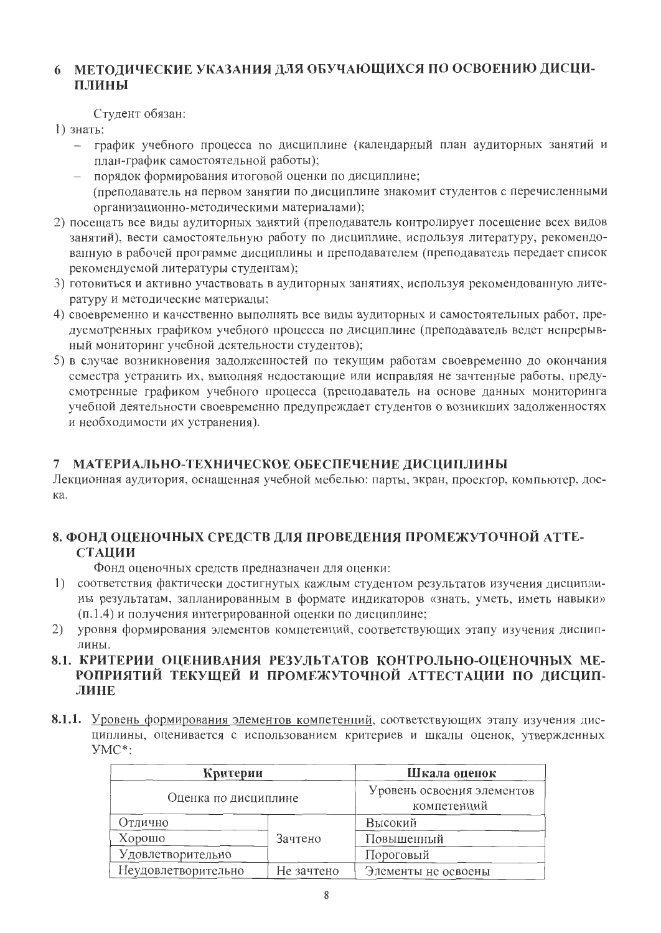# 6 МЕТОЛИЧЕСКИЕ УКАЗАНИЯ ДЛЯ ОБУЧАЮЩИХСЯ ПО ОСВОЕНИЮ ДИСЦИ-ПЛИНЫ

Студент обязан:

1) знать:

- график учебного процесса по дисциплине (календарный план аудиторных занятий и план-график самостоятельной работы);
- порядок формирования итоговой оценки по дисциплине; (преподаватель на первом занятии по дисциплине знакомит студентов с перечисленными организационно-методическими материалами);
- 2) посещать все виды аудиторных занятий (преподаватель контролирует посещение всех видов занятий), вести самостоятельную работу по дисциплине, используя литературу, рекомендованную в рабочей программе дисциплины и преподавателем (преподаватель передает список рекомендуемой литературы студентам);
- 3) готовиться и активно участвовать в аудиторных занятиях, используя рекомендованную литературу и методические материалы;
- 4) своевременно и качественно выполнять все виды аудиторных и самостоятельных работ, предусмотренных графиком учебного процесса по дисциплине (преподаватель ведет непрерывный мониторинг учебной деятельности студентов);
- 5) в случае возникновения задолженностей по текущим работам своевременно до окончания семестра устранить их, выполняя недостающие или исправляя не зачтенные работы, предусмотренные графиком учебного процесса (преподаватель на основе данных мониторинга учебной деятельности своевременно предупреждает студентов о возникших задолженностях и необходимости их устранения).

# 7 МАТЕРИАЛЬНО-ТЕХНИЧЕСКОЕ ОБЕСПЕЧЕНИЕ ДИСЦИПЛИНЫ

Лекционная аудитория, оснащенная учебной мебелью: парты, экран, проектор, компьютер, доска.

# 8. ФОНД ОЦЕНОЧНЫХ СРЕДСТВ ДЛЯ ПРОВЕДЕНИЯ ПРОМЕЖУТОЧНОЙ АТТЕ-**СТАЦИИ**

Фонд оценочных средств предназначен для оценки:

- 1) соответствия фактически достигнутых каждым студентом результатов изучения дисциплины результатам, запланированным в формате индикаторов «знать, уметь, иметь навыки» (п.1.4) и получения интегрированной оценки по дисциплине;
- уровня формирования элементов компетенций, соответствующих этапу изучения дисцип-2) лины.
- 8.1. КРИТЕРИИ ОЦЕНИВАНИЯ РЕЗУЛЬТАТОВ КОНТРОЛЬНО-ОЦЕНОЧНЫХ МЕ-РОПРИЯТИЙ ТЕКУЩЕЙ И ПРОМЕЖУТОЧНОЙ АТТЕСТАЦИИ ПО ДИСЦИП-ЛИНЕ
- 8.1.1. Уровень формирования элементов компетенций, соответствующих этапу изучения дисциплины, оценивается с использованием критериев и шкалы оценок, утвержденных  $YMC^*$ :

|                      | Критерии   |                                           |  |  |  |  |
|----------------------|------------|-------------------------------------------|--|--|--|--|
| Оценка по дисциплине |            | Уровень освоения элементов<br>компетенций |  |  |  |  |
| Отлично              |            | Высокий                                   |  |  |  |  |
| Хорошо               | Зачтено    | Повышенный                                |  |  |  |  |
| Удовлетворительно    |            | Пороговый                                 |  |  |  |  |
| Неудовлетворительно  | Не зачтено | Элементы не освоены                       |  |  |  |  |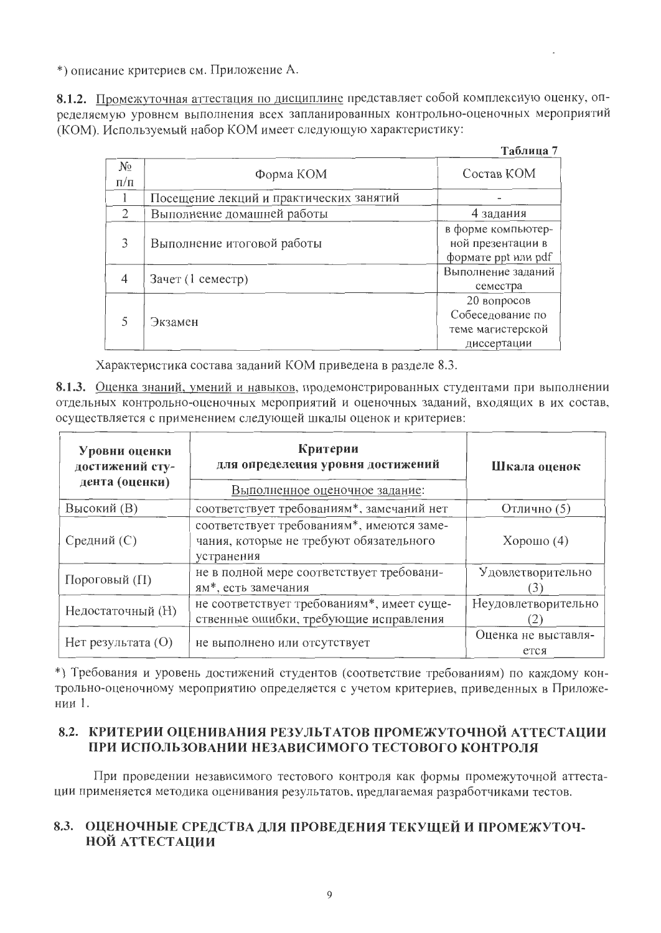\*) описание критериев см. Приложение А.

8.1.2. Промежуточная аттестация по дисциплине представляет собой комплексную оценку, определяемую уровнем выполнения всех запланированных контрольно-оценочных мероприятий (КОМ). Используемый набор КОМ имеет следующую характеристику:

| арлина |  |
|--------|--|
|--------|--|

| $N_{\Omega}$<br>$\Pi/\Pi$ | Форма КОМ                               | Состав КОМ                                                          |
|---------------------------|-----------------------------------------|---------------------------------------------------------------------|
|                           | Посещение лекций и практических занятий |                                                                     |
| $\mathcal{D}$             | Выполнение домашней работы              | 4 задания                                                           |
| 3                         | Выполнение итоговой работы              | в форме компьютер-<br>ной презентации в<br>формате ppt или pdf      |
| 4                         | Зачет (1 семестр)                       | Выполнение заданий<br>семестра                                      |
|                           | Экзамен                                 | 20 вопросов<br>Собеседование по<br>теме магистерской<br>диссертации |

Характеристика состава заданий КОМ приведена в разделе 8.3.

8.1.3. Оценка знаний, умений и навыков, продемонстрированных студентами при выполнении отдельных контрольно-оценочных мероприятий и оценочных заданий, входящих в их состав, осуществляется с применением следующей шкалы оценок и критериев:

| Уровни оценки<br>достижений сту-<br>дента (оценки) | Критерии<br>для определения уровня достижений<br>Выполненное оценочное задание:                    | Шкала оценок    |  |
|----------------------------------------------------|----------------------------------------------------------------------------------------------------|-----------------|--|
| Высокий (В)                                        | соответствует требованиям*, замечаний нет                                                          | Отлично (5)     |  |
| Средний (С)                                        | соответствует требованиям*, имеются заме-<br>чания, которые не требуют обязательного<br>устранения | $X$ орошо $(4)$ |  |
| Пороговый (П)                                      | не в полной мере соответствует требовани-<br>ям*, есть замечания                                   |                 |  |
| Недостаточный (Н)                                  | не соответствует требованиям*, имеет суще-<br>ственные ошибки, требующие исправления               |                 |  |
| $H$ ет результата $(O)$                            | не выполнено или отсутствует                                                                       |                 |  |

\*) Требования и уровень достижений студентов (соответствие требованиям) по каждому контрольно-оценочному мероприятию определяется с учетом критериев, приведенных в Приложении 1.

# 8.2. КРИТЕРИИ ОЦЕНИВАНИЯ РЕЗУЛЬТАТОВ ПРОМЕЖУТОЧНОЙ АТТЕСТАЦИИ ПРИ ИСПОЛЬЗОВАНИИ НЕЗАВИСИМОГО ТЕСТОВОГО КОНТРОЛЯ

При проведении независимого тестового контроля как формы промежуточной аттестации применяется методика оценивания результатов, предлагаемая разработчиками тестов.

# 8.3. ОЦЕНОЧНЫЕ СРЕДСТВА ДЛЯ ПРОВЕДЕНИЯ ТЕКУЩЕЙ И ПРОМЕЖУТОЧ-НОЙ АТТЕСТАЦИИ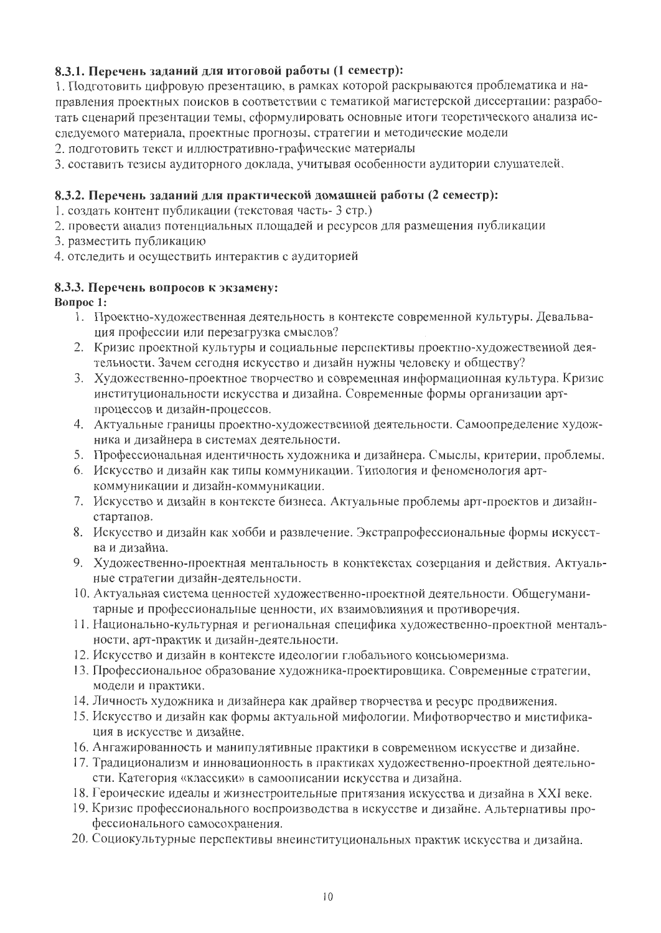# 8.3.1. Перечень заданий для итоговой работы (1 семестр):

1. Подготовить цифровую презентацию, в рамках которой раскрываются проблематика и направления проектных поисков в соответствии с тематикой магистерской диссертации: разработать сценарий презентации темы, сформулировать основные итоги теоретического анализа исследуемого материала, проектные прогнозы, стратегии и методические модели

2. подготовить текст и иллюстративно-графические материалы

3. составить тезисы аудиторного доклада, учитывая особенности аудитории слушателей.

# 8.3.2. Перечень заданий для практической домашней работы (2 семестр):

1. создать контент публикации (текстовая часть- 3 стр.)

- 2. провести анализ потенциальных площадей и ресурсов для размещения публикации
- 3. разместить публикацию
- 4. отследить и осуществить интерактив с аудиторией

## 8.3.3. Перечень вопросов к экзамену:

## **Вопрос 1:**

- 1. Проектно-художественная деятельность в контексте современной культуры. Девальвация профессии или перезагрузка смыслов?
- 2. Кризис проектной культуры и социальные перспективы проектно-художественной деятельности. Зачем сегодня искусство и дизайн нужны человеку и обществу?
- 3. Художественно-проектное творчество и современная информационная культура. Кризис институциональности искусства и дизайна. Современные формы организации артпроцессов и дизайн-процессов.
- 4. Актуальные границы проектно-художественной деятельности. Самоопределение художника и дизайнера в системах деятельности.
- 5. Профессиональная идентичность художника и дизайнера. Смыслы, критерии, проблемы.
- 6. Искусство и дизайн как типы коммуникации. Типология и феноменология арткоммуникации и дизайн-коммуникации.
- 7. Искусство и дизайн в контексте бизнеса. Актуальные проблемы арт-проектов и дизайнстартапов.
- 8. Искусство и дизайн как хобби и развлечение. Экстрапрофессиональные формы искусства и дизайна.
- 9. Художественно-проектная ментальность в конктекстах созерцания и действия. Актуальные стратегии дизайн-деятельности.
- 10. Актуальная система ценностей художественно-проектной деятельности. Общегуманитарные и профессиональные ценности, их взаимовлияния и противоречия.
- 11. Национально-культурная и региональная специфика художественно-проектной ментальности, арт-практик и дизайн-деятельности.
- 12. Искусство и дизайн в контексте идеологии глобального консьюмеризма.
- 13. Профессиональное образование художника-проектировщика. Современные стратегии, модели и практики.
- 14. Личность художника и дизайнера как драйвер творчества и ресурс продвижения.
- 15. Искусство и дизайн как формы актуальной мифологии. Мифотворчество и мистификация в искусстве и дизайне.
- 16. Ангажированность и манипулятивные практики в современном искусстве и дизайне.
- 17. Традиционализм и инновационность в практиках художественно-проектной деятельности. Категория «классики» в самоописании искусства и дизайна.
- 18. Героические идеалы и жизнестроительные притязания искусства и дизайна в XXI веке.
- 19. Кризис профессионального воспроизводства в искусстве и дизайне. Альтернативы профессионального самосохранения.
- 20. Социокультурные перспективы внеинституциональных практик искусства и дизайна.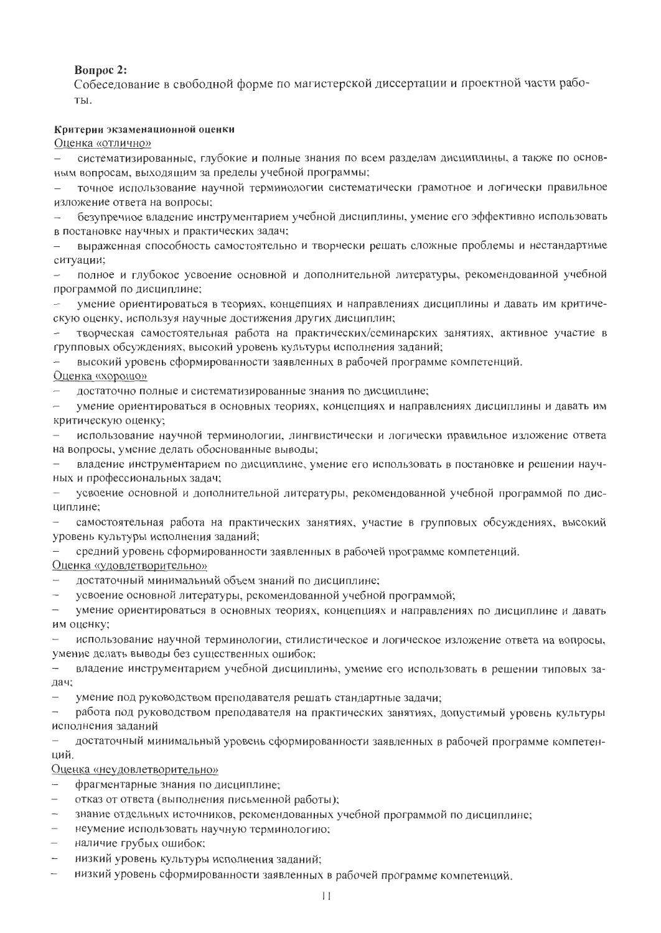#### **Вопрос 2:**

Собеседование в свободной форме по магистерской диссертации и проектной части рабо-TЫ.

#### Критерии экзаменационной оценки

Оценка «отлично»

систематизированные, глубокие и полные знания по всем разделам дисциплины, а также по основным вопросам, выходящим за пределы учебной программы;

точное использование научной терминологии систематически грамотное и логически правильное изложение ответа на вопросы;

безупречное владение инструментарием учебной дисциплины, умение его эффективно использовать в постановке научных и практических задач;

выраженная способность самостоятельно и творчески решать сложные проблемы и нестандартные ситуации;

полное и глубокое усвоение основной и дополнительной литературы, рекомендованной учебной программой по дисциплине;

умение ориентироваться в теориях, концепциях и направлениях дисциплины и давать им критическую оценку, используя научные достижения других дисциплин;

творческая самостоятельная работа на практических/семинарских занятиях, активное участие в групповых обсуждениях, высокий уровень культуры исполнения заданий;

высокий уровень сформированности заявленных в рабочей программе компетенций. Оценка «хорошо»

достаточно полные и систематизированные знания по дисциплине;  $\overline{\phantom{0}}$ 

умение ориентироваться в основных теориях, концепциях и направлениях дисциплины и давать им  $\overline{\phantom{0}}$ критическую оценку;

использование научной терминологии, лингвистически и логически правильное изложение ответа на вопросы, умение делать обоснованные выводы;

владение инструментарием по дисциплине, умение его использовать в постановке и решении научных и профессиональных задач;

усвоение основной и дополнительной литературы, рекомендованной учебной программой по дис- $\overline{\phantom{m}}$ циплине;

самостоятельная работа на практических занятиях, участие в групповых обсуждениях, высокий уровень культуры исполнения заданий;

средний уровень сформированности заявленных в рабочей программе компетенций.

<u>Оценка «удовлетворительно»</u>

- достаточный минимальный объем знаний по дисциплине;  $\overline{\phantom{m}}$
- усвоение основной литературы, рекомендованной учебной программой;

умение ориентироваться в основных теориях, концепциях и направлениях по дисциплине и давать им оценку;

использование научной терминологии, стилистическое и логическое изложение ответа на вопросы, умение делать выводы без существенных ошибок;

 $\overline{\phantom{a}}$ владение инструментарием учебной дисциплины, умение его использовать в решении типовых задач;

умение под руководством преподавателя решать стандартные задачи;

работа под руководством преподавателя на практических занятиях, допустимый уровень культуры  $\overline{\phantom{a}}$ исполнения заданий

достаточный минимальный уровень сформированности заявленных в рабочей программе компетенций.

#### Оценка «неудовлетворительно»

- фрагментарные знания по дисциплине;
- отказ от ответа (выполнения письменной работы);  $\overline{\phantom{0}}$
- знание отдельных источников, рекомендованных учебной программой по дисциплине;
- неумение использовать научную терминологию;
- наличие грубых ошибок;
- низкий уровень культуры исполнения заданий;
- низкий уровень сформированности заявленных в рабочей программе компетенций.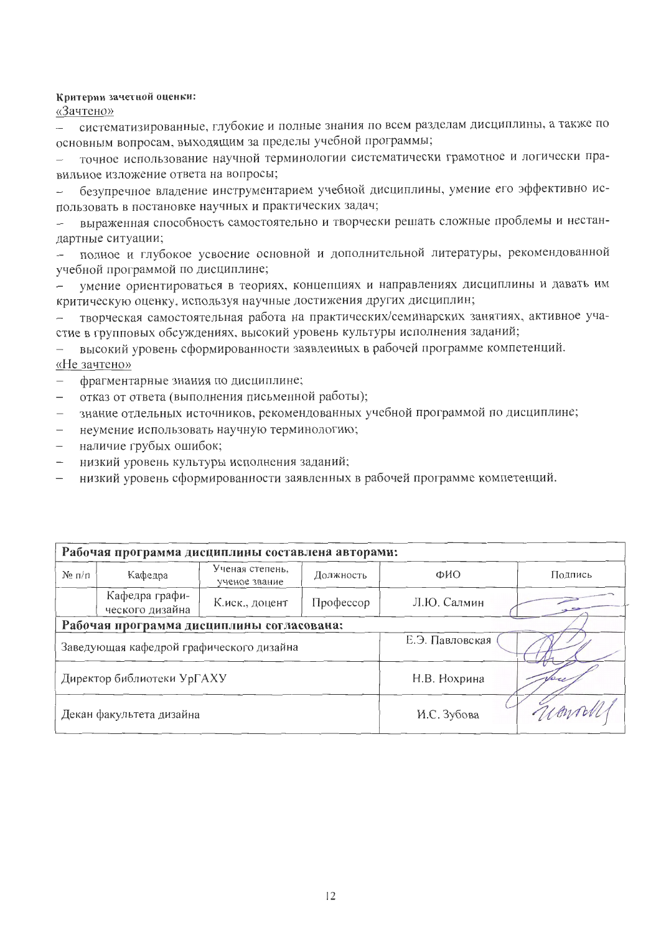#### Критерии зачетной оценки:

«Зачтено»

систематизированные, глубокие и полные знания по всем разделам дисциплины, а также по основным вопросам, выходящим за пределы учебной программы;

точное использование научной терминологии систематически грамотное и логически правильное изложение ответа на вопросы;

безупречное владение инструментарием учебной дисциплины, умение его эффективно ис- $\overline{a}$ пользовать в постановке научных и практических задач;

выраженная способность самостоятельно и творчески решать сложные проблемы и нестандартные ситуации;

полное и глубокое усвоение основной и дополнительной литературы, рекомендованной учебной программой по дисциплине;

умение ориентироваться в теориях, концепциях и направлениях дисциплины и давать им критическую оценку, используя научные достижения других дисциплин;

творческая самостоятельная работа на практических/семинарских занятиях, активное участие в групповых обсуждениях, высокий уровень культуры исполнения заданий;

высокий уровень сформированности заявленных в рабочей программе компетенций. «Не зачтено»

- фрагментарные знания по дисциплине;
- отказ от ответа (выполнения письменной работы);
- знание отдельных источников, рекомендованных учебной программой по дисциплине;
- неумение использовать научную терминологию;
- наличие грубых ошибок;
- низкий уровень культуры исполнения заданий;
- низкий уровень сформированности заявленных в рабочей программе компетенций.

| Рабочая программа дисциплины составлена авторами: |                                   |                                  |                 |             |         |  |  |  |  |
|---------------------------------------------------|-----------------------------------|----------------------------------|-----------------|-------------|---------|--|--|--|--|
| $N_2 \pi / \pi$                                   | Кафедра                           | Ученая степень,<br>ученое звание | Должность       | ФИО         | Подпись |  |  |  |  |
|                                                   | Кафедра графи-<br>ческого дизайна | К.иск., доцент                   | Профессор       | Л.Ю. Салмин |         |  |  |  |  |
| Рабочая программа дисциплины согласована:         |                                   |                                  |                 |             |         |  |  |  |  |
| Заведующая кафедрой графического дизайна          |                                   |                                  | Е.Э. Павловская |             |         |  |  |  |  |
| Директор библиотеки УрГАХУ                        |                                   |                                  | Н.В. Нохрина    |             |         |  |  |  |  |
| Декан факультета дизайна                          |                                   |                                  | И.С. Зубова     | umolli      |         |  |  |  |  |